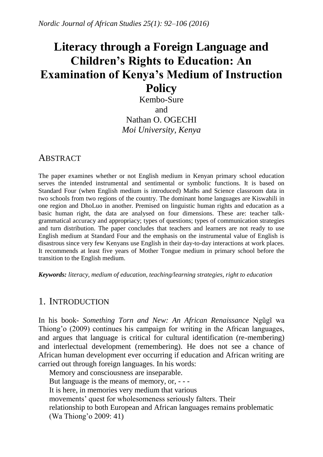# **Literacy through a Foreign Language and Children's Rights to Education: An Examination of Kenya's Medium of Instruction Policy**

Kembo-Sure and Nathan O. OGECHI *Moi University, Kenya*

### **ABSTRACT**

The paper examines whether or not English medium in Kenyan primary school education serves the intended instrumental and sentimental or symbolic functions. It is based on Standard Four (when English medium is introduced) Maths and Science classroom data in two schools from two regions of the country. The dominant home languages are Kiswahili in one region and DhoLuo in another. Premised on linguistic human rights and education as a basic human right, the data are analysed on four dimensions. These are: teacher talkgrammatical accuracy and appropriacy; types of questions; types of communication strategies and turn distribution. The paper concludes that teachers and learners are not ready to use English medium at Standard Four and the emphasis on the instrumental value of English is disastrous since very few Kenyans use English in their day-to-day interactions at work places. It recommends at least five years of Mother Tongue medium in primary school before the transition to the English medium.

*Keywords: literacy, medium of education, teaching/learning strategies, right to education*

### 1. INTRODUCTION

In his book- *Something Torn and New: An African Renaissance* Ngũgĩ wa Thiong'o (2009) continues his campaign for writing in the African languages, and argues that language is critical for cultural identification (re-membering) and interlectual development (remembering). He does not see a chance of African human development ever occurring if education and African writing are carried out through foreign languages. In his words:

Memory and consciousness are inseparable. But language is the means of memory, or, - - - It is here, in memories very medium that various movements' quest for wholesomeness seriously falters. Their relationship to both European and African languages remains problematic (Wa Thiong'o 2009: 41)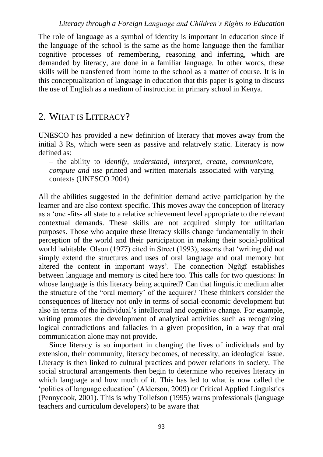#### *Literacy through a Foreign Language and Children's Rights to Education*

The role of language as a symbol of identity is important in education since if the language of the school is the same as the home language then the familiar cognitive processes of remembering, reasoning and inferring, which are demanded by literacy, are done in a familiar language. In other words, these skills will be transferred from home to the school as a matter of course. It is in this conceptualization of language in education that this paper is going to discuss the use of English as a medium of instruction in primary school in Kenya.

# 2. WHAT IS LITERACY?

UNESCO has provided a new definition of literacy that moves away from the initial 3 Rs, which were seen as passive and relatively static. Literacy is now defined as:

– the ability to *identify, understand, interpret, create, communicate, compute and use* printed and written materials associated with varying contexts (UNESCO 2004)

All the abilities suggested in the definition demand active participation by the learner and are also context-specific. This moves away the conception of literacy as a 'one -fits- all state to a relative achievement level appropriate to the relevant contextual demands. These skills are not acquired simply for utilitarian purposes. Those who acquire these literacy skills change fundamentally in their perception of the world and their participation in making their social-political world habitable. Olson (1977) cited in Street (1993), asserts that 'writing did not simply extend the structures and uses of oral language and oral memory but altered the content in important ways'. The connection Ngũgĩ establishes between language and memory is cited here too. This calls for two questions: In whose language is this literacy being acquired? Can that linguistic medium alter the structure of the "oral memory' of the acquirer? These thinkers consider the consequences of literacy not only in terms of social-economic development but also in terms of the individual's intellectual and cognitive change. For example, writing promotes the development of analytical activities such as recognizing logical contradictions and fallacies in a given proposition, in a way that oral communication alone may not provide.

Since literacy is so important in changing the lives of individuals and by extension, their community, literacy becomes, of necessity, an ideological issue. Literacy is then linked to cultural practices and power relations in society. The social structural arrangements then begin to determine who receives literacy in which language and how much of it. This has led to what is now called the 'politics of language education' (Alderson, 2009) or Critical Applied Linguistics (Pennycook, 2001). This is why Tollefson (1995) warns professionals (language teachers and curriculum developers) to be aware that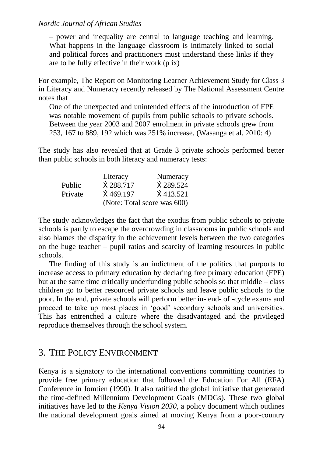– power and inequality are central to language teaching and learning. What happens in the language classroom is intimately linked to social and political forces and practitioners must understand these links if they are to be fully effective in their work (p ix)

For example, The Report on Monitoring Learner Achievement Study for Class 3 in Literacy and Numeracy recently released by The National Assessment Centre notes that

One of the unexpected and unintended effects of the introduction of FPE was notable movement of pupils from public schools to private schools. Between the year 2003 and 2007 enrolment in private schools grew from 253, 167 to 889, 192 which was 251% increase. (Wasanga et al. 2010: 4)

The study has also revealed that at Grade 3 private schools performed better than public schools in both literacy and numeracy tests:

|         | Literacy          | Numeracy                    |
|---------|-------------------|-----------------------------|
| Public  | X 288.717         | X 289.524                   |
| Private | $\hat{X}$ 469.197 | $\hat{X}$ 413.521           |
|         |                   | (Note: Total score was 600) |

The study acknowledges the fact that the exodus from public schools to private schools is partly to escape the overcrowding in classrooms in public schools and also blames the disparity in the achievement levels between the two categories on the huge teacher – pupil ratios and scarcity of learning resources in public schools.

The finding of this study is an indictment of the politics that purports to increase access to primary education by declaring free primary education (FPE) but at the same time critically underfunding public schools so that middle – class children go to better resourced private schools and leave public schools to the poor. In the end, private schools will perform better in- end- of -cycle exams and proceed to take up most places in 'good' secondary schools and universities. This has entrenched a culture where the disadvantaged and the privileged reproduce themselves through the school system.

# 3. THE POLICY ENVIRONMENT

Kenya is a signatory to the international conventions committing countries to provide free primary education that followed the Education For All (EFA) Conference in Jomtien (1990). It also ratified the global initiative that generated the time-defined Millennium Development Goals (MDGs). These two global initiatives have led to the *Kenya Vision 2030,* a policy document which outlines the national development goals aimed at moving Kenya from a poor-country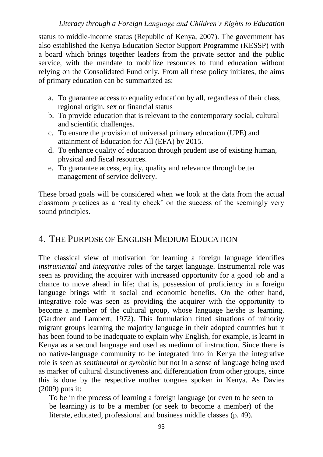#### *Literacy through a Foreign Language and Children's Rights to Education*

status to middle-income status (Republic of Kenya, 2007). The government has also established the Kenya Education Sector Support Programme (KESSP) with a board which brings together leaders from the private sector and the public service, with the mandate to mobilize resources to fund education without relying on the Consolidated Fund only. From all these policy initiates, the aims of primary education can be summarized as:

- a. To guarantee access to equality education by all, regardless of their class, regional origin, sex or financial status
- b. To provide education that is relevant to the contemporary social, cultural and scientific challenges.
- c. To ensure the provision of universal primary education (UPE) and attainment of Education for All (EFA) by 2015.
- d. To enhance quality of education through prudent use of existing human, physical and fiscal resources.
- e. To guarantee access, equity, quality and relevance through better management of service delivery.

These broad goals will be considered when we look at the data from the actual classroom practices as a 'reality check' on the success of the seemingly very sound principles.

# 4. THE PURPOSE OF ENGLISH MEDIUM EDUCATION

The classical view of motivation for learning a foreign language identifies *instrumental* and *integrative* roles of the target language. Instrumental role was seen as providing the acquirer with increased opportunity for a good job and a chance to move ahead in life; that is, possession of proficiency in a foreign language brings with it social and economic benefits. On the other hand, integrative role was seen as providing the acquirer with the opportunity to become a member of the cultural group, whose language he/she is learning. (Gardner and Lambert, 1972). This formulation fitted situations of minority migrant groups learning the majority language in their adopted countries but it has been found to be inadequate to explain why English, for example, is learnt in Kenya as a second language and used as medium of instruction. Since there is no native-language community to be integrated into in Kenya the integrative role is seen as *sentimental* or *symbolic* but not in a sense of language being used as marker of cultural distinctiveness and differentiation from other groups, since this is done by the respective mother tongues spoken in Kenya. As Davies (2009) puts it:

To be in the process of learning a foreign language (or even to be seen to be learning) is to be a member (or seek to become a member) of the literate, educated, professional and business middle classes (p. 49).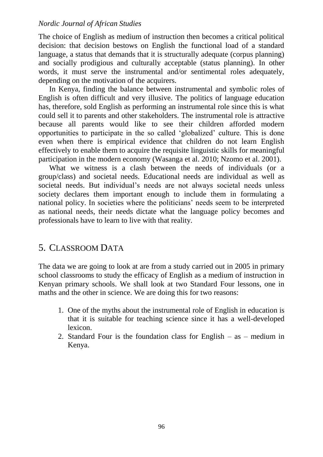The choice of English as medium of instruction then becomes a critical political decision: that decision bestows on English the functional load of a standard language, a status that demands that it is structurally adequate (corpus planning) and socially prodigious and culturally acceptable (status planning). In other words, it must serve the instrumental and/or sentimental roles adequately, depending on the motivation of the acquirers.

In Kenya, finding the balance between instrumental and symbolic roles of English is often difficult and very illusive. The politics of language education has, therefore, sold English as performing an instrumental role since this is what could sell it to parents and other stakeholders. The instrumental role is attractive because all parents would like to see their children afforded modern opportunities to participate in the so called 'globalized' culture. This is done even when there is empirical evidence that children do not learn English effectively to enable them to acquire the requisite linguistic skills for meaningful participation in the modern economy (Wasanga et al. 2010; Nzomo et al. 2001).

What we witness is a clash between the needs of individuals (or a group/class) and societal needs. Educational needs are individual as well as societal needs. But individual's needs are not always societal needs unless society declares them important enough to include them in formulating a national policy. In societies where the politicians' needs seem to be interpreted as national needs, their needs dictate what the language policy becomes and professionals have to learn to live with that reality.

# 5. CLASSROOM DATA

The data we are going to look at are from a study carried out in 2005 in primary school classrooms to study the efficacy of English as a medium of instruction in Kenyan primary schools. We shall look at two Standard Four lessons, one in maths and the other in science. We are doing this for two reasons:

- 1. One of the myths about the instrumental role of English in education is that it is suitable for teaching science since it has a well-developed lexicon.
- 2. Standard Four is the foundation class for English as medium in Kenya.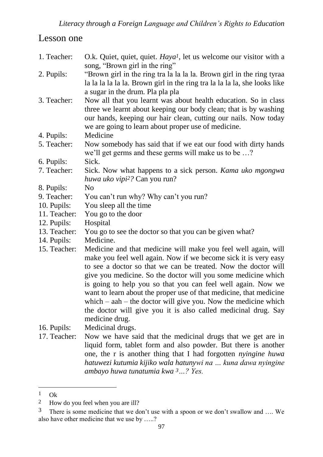# Lesson one

| 1. Teacher:  | O.k. Quiet, quiet, quiet. <i>Haya<sup>1</sup></i> , let us welcome our visitor with a<br>song, "Brown girl in the ring"                                                                                                                                                                                                                                                                                                                                                                                                                                              |
|--------------|----------------------------------------------------------------------------------------------------------------------------------------------------------------------------------------------------------------------------------------------------------------------------------------------------------------------------------------------------------------------------------------------------------------------------------------------------------------------------------------------------------------------------------------------------------------------|
| 2. Pupils:   | "Brown girl in the ring tra la la la la. Brown girl in the ring tyraa<br>la la la la la la. Brown girl in the ring tra la la la la, she looks like<br>a sugar in the drum. Pla pla pla                                                                                                                                                                                                                                                                                                                                                                               |
| 3. Teacher:  | Now all that you learnt was about health education. So in class<br>three we learnt about keeping our body clean; that is by washing<br>our hands, keeping our hair clean, cutting our nails. Now today<br>we are going to learn about proper use of medicine.                                                                                                                                                                                                                                                                                                        |
| 4. Pupils:   | Medicine                                                                                                                                                                                                                                                                                                                                                                                                                                                                                                                                                             |
| 5. Teacher:  | Now somebody has said that if we eat our food with dirty hands<br>we'll get germs and these germs will make us to be ?                                                                                                                                                                                                                                                                                                                                                                                                                                               |
| 6. Pupils:   | Sick.                                                                                                                                                                                                                                                                                                                                                                                                                                                                                                                                                                |
| 7. Teacher:  | Sick. Now what happens to a sick person. Kama uko mgongwa<br>huwa uko vipi <sup>2</sup> ? Can you run?                                                                                                                                                                                                                                                                                                                                                                                                                                                               |
| 8. Pupils:   | N <sub>0</sub>                                                                                                                                                                                                                                                                                                                                                                                                                                                                                                                                                       |
| 9. Teacher:  | You can't run why? Why can't you run?                                                                                                                                                                                                                                                                                                                                                                                                                                                                                                                                |
| 10. Pupils:  | You sleep all the time                                                                                                                                                                                                                                                                                                                                                                                                                                                                                                                                               |
| 11. Teacher: | You go to the door                                                                                                                                                                                                                                                                                                                                                                                                                                                                                                                                                   |
| 12. Pupils:  | Hospital                                                                                                                                                                                                                                                                                                                                                                                                                                                                                                                                                             |
| 13. Teacher: | You go to see the doctor so that you can be given what?                                                                                                                                                                                                                                                                                                                                                                                                                                                                                                              |
| 14. Pupils:  | Medicine.                                                                                                                                                                                                                                                                                                                                                                                                                                                                                                                                                            |
| 15. Teacher: | Medicine and that medicine will make you feel well again, will<br>make you feel well again. Now if we become sick it is very easy<br>to see a doctor so that we can be treated. Now the doctor will<br>give you medicine. So the doctor will you some medicine which<br>is going to help you so that you can feel well again. Now we<br>want to learn about the proper use of that medicine, that medicine<br>which $-$ aah $-$ the doctor will give you. Now the medicine which<br>the doctor will give you it is also called medicinal drug. Say<br>medicine drug. |
| 16. Pupils:  | Medicinal drugs.                                                                                                                                                                                                                                                                                                                                                                                                                                                                                                                                                     |
| 17. Teacher: | Now we have said that the medicinal drugs that we get are in                                                                                                                                                                                                                                                                                                                                                                                                                                                                                                         |

liquid form, tablet form and also powder. But there is another one, the r is another thing that I had forgotten *nyingine huwa hatuwezi kutumia kijiko wala hatunywi na … kuna dawa nyingine ambayo huwa tunatumia kwa 3…? Yes.*

 $1$  Ok

<sup>2</sup> How do you feel when you are ill?

<sup>3</sup> There is some medicine that we don't use with a spoon or we don't swallow and …. We also have other medicine that we use by …..?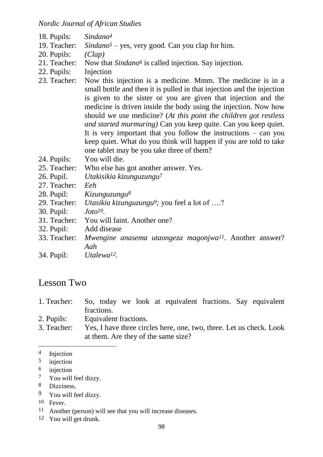*Nordic Journal of African Studies*

| 18. Pupils:                 | Sindano <sup>4</sup>                                                                                                                                                                                                                                                                                                                                                                                                                                                                                                                                                                                                 |
|-----------------------------|----------------------------------------------------------------------------------------------------------------------------------------------------------------------------------------------------------------------------------------------------------------------------------------------------------------------------------------------------------------------------------------------------------------------------------------------------------------------------------------------------------------------------------------------------------------------------------------------------------------------|
| 19. Teacher:                | $\textit{Sindano}^5$ – yes, very good. Can you clap for him.                                                                                                                                                                                                                                                                                                                                                                                                                                                                                                                                                         |
| 20. Pupils:                 | (Clap)                                                                                                                                                                                                                                                                                                                                                                                                                                                                                                                                                                                                               |
| 21. Teacher:                | Now that Sindano <sup>6</sup> is called injection. Say injection.                                                                                                                                                                                                                                                                                                                                                                                                                                                                                                                                                    |
| 22. Pupils:<br>23. Teacher: | Injection<br>Now this injection is a medicine. Mmm. The medicine is in a<br>small bottle and then it is pulled in that injection and the injection<br>is given to the sister or you are given that injection and the<br>medicine is driven inside the body using the injection. Now how<br>should we use medicine? (At this point the children got restless<br>and started murmuring) Can you keep quite. Can you keep quiet.<br>It is very important that you follow the instructions $-$ can you<br>keep quiet. What do you think will happen if you are told to take<br>one tablet may be you take three of them? |
| 24. Pupils:                 | You will die.                                                                                                                                                                                                                                                                                                                                                                                                                                                                                                                                                                                                        |
| 25. Teacher:                | Who else has got another answer. Yes.                                                                                                                                                                                                                                                                                                                                                                                                                                                                                                                                                                                |
| 26. Pupil.                  | Utakisikia kizunguzungu <sup>7</sup>                                                                                                                                                                                                                                                                                                                                                                                                                                                                                                                                                                                 |
| 27. Teacher:                | Eeh                                                                                                                                                                                                                                                                                                                                                                                                                                                                                                                                                                                                                  |
| 28. Pupil:                  | Kizunguzungu <sup>8</sup>                                                                                                                                                                                                                                                                                                                                                                                                                                                                                                                                                                                            |
| 29. Teacher:                | <i>Utasikia kizunguzungu<sup>9</sup>;</i> you feel a lot of ?                                                                                                                                                                                                                                                                                                                                                                                                                                                                                                                                                        |
| 30. Pupil:                  | $Joto^{10}$ .                                                                                                                                                                                                                                                                                                                                                                                                                                                                                                                                                                                                        |
| 31. Teacher:                | You will faint. Another one?                                                                                                                                                                                                                                                                                                                                                                                                                                                                                                                                                                                         |
| 32. Pupil:                  | Add disease                                                                                                                                                                                                                                                                                                                                                                                                                                                                                                                                                                                                          |
| 33. Teacher:                | Mwengine anasema utaongeza magonjwa <sup>11</sup> . Another answer?<br>Aah                                                                                                                                                                                                                                                                                                                                                                                                                                                                                                                                           |
| 34. Pupil:                  | Utalewa <sup>12</sup> .                                                                                                                                                                                                                                                                                                                                                                                                                                                                                                                                                                                              |
|                             |                                                                                                                                                                                                                                                                                                                                                                                                                                                                                                                                                                                                                      |

# Lesson Two

| 1. Teacher: | So, today we look at equivalent fractions. Say equivalent           |
|-------------|---------------------------------------------------------------------|
|             | fractions.                                                          |
| 2. Pupils:  | Equivalent fractions.                                               |
| 3. Teacher: | Yes, I have three circles here, one, two, three. Let us check. Look |
|             | at them. Are they of the same size?                                 |

 $\frac{4}{5}$  Injection

<sup>5</sup> injection

 $\frac{6}{7}$  injection<br> $\frac{7}{7}$  You will

 $\frac{7}{8}$  You will feel dizzy.

Dizziness.

<sup>9</sup> You will feel dizzy.

<sup>10</sup> Fever.

<sup>11</sup> Another (person) will see that you will increase diseases.

<sup>12</sup> You will get drunk.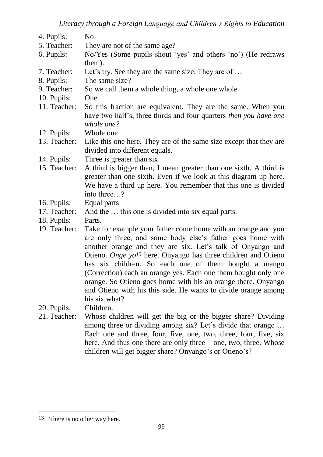| 4. Pupils:   | N <sub>0</sub>                                                                                                                                                                                                                                                                                                                                                                                                                                                                                                                                       |
|--------------|------------------------------------------------------------------------------------------------------------------------------------------------------------------------------------------------------------------------------------------------------------------------------------------------------------------------------------------------------------------------------------------------------------------------------------------------------------------------------------------------------------------------------------------------------|
| 5. Teacher:  | They are not of the same age?                                                                                                                                                                                                                                                                                                                                                                                                                                                                                                                        |
| 6. Pupils:   | No/Yes (Some pupils shout 'yes' and others 'no') (He redraws<br>them).                                                                                                                                                                                                                                                                                                                                                                                                                                                                               |
| 7. Teacher:  | Let's try. See they are the same size. They are of                                                                                                                                                                                                                                                                                                                                                                                                                                                                                                   |
| 8. Pupils:   | The same size?                                                                                                                                                                                                                                                                                                                                                                                                                                                                                                                                       |
| 9. Teacher:  | So we call them a whole thing, a whole one whole                                                                                                                                                                                                                                                                                                                                                                                                                                                                                                     |
| 10. Pupils:  | One                                                                                                                                                                                                                                                                                                                                                                                                                                                                                                                                                  |
| 11. Teacher: | So this fraction are equivalent. They are the same. When you<br>have two half's, three thirds and four quarters <i>then</i> you have one<br>whole one?                                                                                                                                                                                                                                                                                                                                                                                               |
| 12. Pupils:  | Whole one                                                                                                                                                                                                                                                                                                                                                                                                                                                                                                                                            |
| 13. Teacher: | Like this one here. They are of the same size except that they are<br>divided into different equals.                                                                                                                                                                                                                                                                                                                                                                                                                                                 |
| 14. Pupils:  | Three is greater than six                                                                                                                                                                                                                                                                                                                                                                                                                                                                                                                            |
| 15. Teacher: | A third is bigger than, I mean greater than one sixth. A third is<br>greater than one sixth. Even if we look at this diagram up here.<br>We have a third up here. You remember that this one is divided<br>into three?                                                                                                                                                                                                                                                                                                                               |
| 16. Pupils:  | Equal parts                                                                                                                                                                                                                                                                                                                                                                                                                                                                                                                                          |
| 17. Teacher: | And the  this one is divided into six equal parts.                                                                                                                                                                                                                                                                                                                                                                                                                                                                                                   |
| 18. Pupils:  | Parts.                                                                                                                                                                                                                                                                                                                                                                                                                                                                                                                                               |
| 19. Teacher: | Take for example your father come home with an orange and you<br>are only three, and some body else's father goes home with<br>another orange and they are six. Let's talk of Onyango and<br>Otieno. Onge yo <sup>13</sup> here. Onyango has three children and Otieno<br>has six children. So each one of them bought a mango<br>(Correction) each an orange yes. Each one them bought only one<br>orange. So Otieno goes home with his an orange there. Onyango<br>and Otieno with his this side. He wants to divide orange among<br>his six what? |
| 20. Pupils:  | Children.                                                                                                                                                                                                                                                                                                                                                                                                                                                                                                                                            |

21. Teacher: Whose children will get the big or the bigger share? Dividing among three or dividing among six? Let's divide that orange … Each one and three, four, five, one, two, three, four, five, six here. And thus one there are only three – one, two, three. Whose children will get bigger share? Onyango's or Otieno's?

<sup>13</sup> There is no other way here.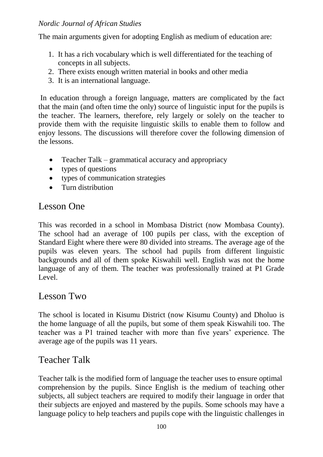The main arguments given for adopting English as medium of education are:

- 1. It has a rich vocabulary which is well differentiated for the teaching of concepts in all subjects.
- 2. There exists enough written material in books and other media
- 3. It is an international language.

In education through a foreign language, matters are complicated by the fact that the main (and often time the only) source of linguistic input for the pupils is the teacher. The learners, therefore, rely largely or solely on the teacher to provide them with the requisite linguistic skills to enable them to follow and enjoy lessons. The discussions will therefore cover the following dimension of the lessons.

- Teacher Talk grammatical accuracy and appropriacy
- types of questions
- types of communication strategies
- Turn distribution

# Lesson One

This was recorded in a school in Mombasa District (now Mombasa County). The school had an average of 100 pupils per class, with the exception of Standard Eight where there were 80 divided into streams. The average age of the pupils was eleven years. The school had pupils from different linguistic backgrounds and all of them spoke Kiswahili well. English was not the home language of any of them. The teacher was professionally trained at P1 Grade Level.

# Lesson Two

The school is located in Kisumu District (now Kisumu County) and Dholuo is the home language of all the pupils, but some of them speak Kiswahili too. The teacher was a P1 trained teacher with more than five years' experience. The average age of the pupils was 11 years.

# Teacher Talk

Teacher talk is the modified form of language the teacher uses to ensure optimal comprehension by the pupils. Since English is the medium of teaching other subjects, all subject teachers are required to modify their language in order that their subjects are enjoyed and mastered by the pupils. Some schools may have a language policy to help teachers and pupils cope with the linguistic challenges in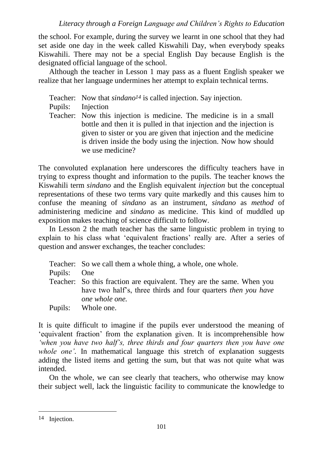the school. For example, during the survey we learnt in one school that they had set aside one day in the week called Kiswahili Day, when everybody speaks Kiswahili. There may not be a special English Day because English is the designated official language of the school.

Although the teacher in Lesson 1 may pass as a fluent English speaker we realize that her language undermines her attempt to explain technical terms.

- Teacher: Now that *sindano14* is called injection. Say injection.
- Pupils: Injection
- Teacher: Now this injection is medicine. The medicine is in a small bottle and then it is pulled in that injection and the injection is given to sister or you are given that injection and the medicine is driven inside the body using the injection. Now how should we use medicine?

The convoluted explanation here underscores the difficulty teachers have in trying to express thought and information to the pupils. The teacher knows the Kiswahili term *sindano* and the English equivalent *injection* but the conceptual representations of these two terms vary quite markedly and this causes him to confuse the meaning of *sindano* as an instrument, *sindano* as *method* of administering medicine and *sindano* as medicine. This kind of muddled up exposition makes teaching of science difficult to follow.

In Lesson 2 the math teacher has the same linguistic problem in trying to explain to his class what 'equivalent fractions' really are. After a series of question and answer exchanges, the teacher concludes:

|             | Teacher: So we call them a whole thing, a whole, one whole.                                                                                                     |
|-------------|-----------------------------------------------------------------------------------------------------------------------------------------------------------------|
| Pupils: One |                                                                                                                                                                 |
|             | Teacher: So this fraction are equivalent. They are the same. When you<br>have two half's, three thirds and four quarters <i>then</i> you have<br>one whole one. |
|             | Pupils: Whole one.                                                                                                                                              |

It is quite difficult to imagine if the pupils ever understood the meaning of 'equivalent fraction' from the explanation given. It is incomprehensible how *'when you have two half's, three thirds and four quarters then you have one whole one'*. In mathematical language this stretch of explanation suggests adding the listed items and getting the sum, but that was not quite what was intended.

On the whole, we can see clearly that teachers, who otherwise may know their subject well, lack the linguistic facility to communicate the knowledge to

<sup>14</sup> Injection.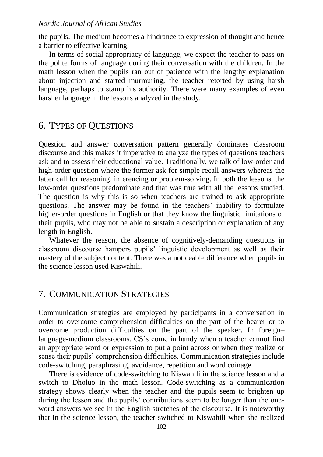the pupils. The medium becomes a hindrance to expression of thought and hence a barrier to effective learning.

In terms of social appropriacy of language, we expect the teacher to pass on the polite forms of language during their conversation with the children. In the math lesson when the pupils ran out of patience with the lengthy explanation about injection and started murmuring, the teacher retorted by using harsh language, perhaps to stamp his authority. There were many examples of even harsher language in the lessons analyzed in the study.

### 6. TYPES OF QUESTIONS

Question and answer conversation pattern generally dominates classroom discourse and this makes it imperative to analyze the types of questions teachers ask and to assess their educational value. Traditionally, we talk of low-order and high-order question where the former ask for simple recall answers whereas the latter call for reasoning, inferencing or problem-solving. In both the lessons, the low-order questions predominate and that was true with all the lessons studied. The question is why this is so when teachers are trained to ask appropriate questions. The answer may be found in the teachers' inability to formulate higher-order questions in English or that they know the linguistic limitations of their pupils, who may not be able to sustain a description or explanation of any length in English.

Whatever the reason, the absence of cognitively-demanding questions in classroom discourse hampers pupils' linguistic development as well as their mastery of the subject content. There was a noticeable difference when pupils in the science lesson used Kiswahili.

#### 7. COMMUNICATION STRATEGIES

Communication strategies are employed by participants in a conversation in order to overcome comprehension difficulties on the part of the hearer or to overcome production difficulties on the part of the speaker. In foreign– language-medium classrooms, CS's come in handy when a teacher cannot find an appropriate word or expression to put a point across or when they realize or sense their pupils' comprehension difficulties. Communication strategies include code-switching, paraphrasing, avoidance, repetition and word coinage.

There is evidence of code-switching to Kiswahili in the science lesson and a switch to Dholuo in the math lesson. Code-switching as a communication strategy shows clearly when the teacher and the pupils seem to brighten up during the lesson and the pupils' contributions seem to be longer than the oneword answers we see in the English stretches of the discourse. It is noteworthy that in the science lesson, the teacher switched to Kiswahili when she realized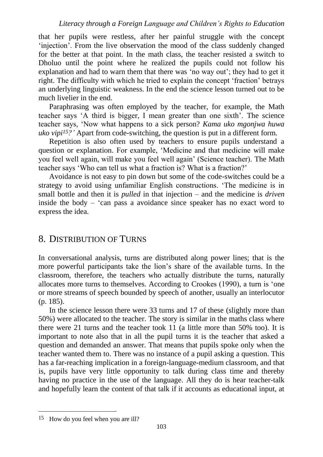#### *Literacy through a Foreign Language and Children's Rights to Education*

that her pupils were restless, after her painful struggle with the concept 'injection'. From the live observation the mood of the class suddenly changed for the better at that point. In the math class, the teacher resisted a switch to Dholuo until the point where he realized the pupils could not follow his explanation and had to warn them that there was 'no way out'; they had to get it right. The difficulty with which he tried to explain the concept 'fraction' betrays an underlying linguistic weakness. In the end the science lesson turned out to be much livelier in the end.

Paraphrasing was often employed by the teacher, for example, the Math teacher says 'A third is bigger, I mean greater than one sixth'. The science teacher says, 'Now what happens to a sick person? *Kama uko mgonjwa huwa uko vipi15?'* Apart from code-switching, the question is put in a different form.

Repetition is also often used by teachers to ensure pupils understand a question or explanation. For example, 'Medicine and that medicine will make you feel well again, will make you feel well again' (Science teacher). The Math teacher says 'Who can tell us what a fraction is? What is a fraction?'

Avoidance is not easy to pin down but some of the code-switches could be a strategy to avoid using unfamiliar English constructions. 'The medicine is in small bottle and then it is *pulled* in that injection – and the medicine is *driven* inside the body – 'can pass a avoidance since speaker has no exact word to express the idea.

### 8. DISTRIBUTION OF TURNS

In conversational analysis, turns are distributed along power lines; that is the more powerful participants take the lion's share of the available turns. In the classroom, therefore, the teachers who actually distribute the turns, naturally allocates more turns to themselves. According to Crookes (1990), a turn is 'one or more streams of speech bounded by speech of another, usually an interlocutor (p. 185).

In the science lesson there were 33 turns and 17 of these (slightly more than 50%) were allocated to the teacher. The story is similar in the maths class where there were 21 turns and the teacher took 11 (a little more than 50% too). It is important to note also that in all the pupil turns it is the teacher that asked a question and demanded an answer. That means that pupils spoke only when the teacher wanted them to. There was no instance of a pupil asking a question. This has a far-reaching implication in a foreign-language-medium classroom, and that is, pupils have very little opportunity to talk during class time and thereby having no practice in the use of the language. All they do is hear teacher-talk and hopefully learn the content of that talk if it accounts as educational input, at

<sup>15</sup> How do you feel when you are ill?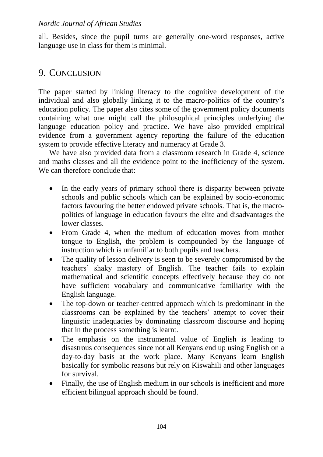all. Besides, since the pupil turns are generally one-word responses, active language use in class for them is minimal.

# 9. CONCLUSION

The paper started by linking literacy to the cognitive development of the individual and also globally linking it to the macro-politics of the country's education policy. The paper also cites some of the government policy documents containing what one might call the philosophical principles underlying the language education policy and practice. We have also provided empirical evidence from a government agency reporting the failure of the education system to provide effective literacy and numeracy at Grade 3.

We have also provided data from a classroom research in Grade 4, science and maths classes and all the evidence point to the inefficiency of the system. We can therefore conclude that:

- In the early years of primary school there is disparity between private schools and public schools which can be explained by socio-economic factors favouring the better endowed private schools. That is, the macropolitics of language in education favours the elite and disadvantages the lower classes.
- From Grade 4, when the medium of education moves from mother tongue to English, the problem is compounded by the language of instruction which is unfamiliar to both pupils and teachers.
- The quality of lesson delivery is seen to be severely compromised by the teachers' shaky mastery of English. The teacher fails to explain mathematical and scientific concepts effectively because they do not have sufficient vocabulary and communicative familiarity with the English language.
- The top-down or teacher-centred approach which is predominant in the classrooms can be explained by the teachers' attempt to cover their linguistic inadequacies by dominating classroom discourse and hoping that in the process something is learnt.
- The emphasis on the instrumental value of English is leading to disastrous consequences since not all Kenyans end up using English on a day-to-day basis at the work place. Many Kenyans learn English basically for symbolic reasons but rely on Kiswahili and other languages for survival.
- Finally, the use of English medium in our schools is inefficient and more efficient bilingual approach should be found.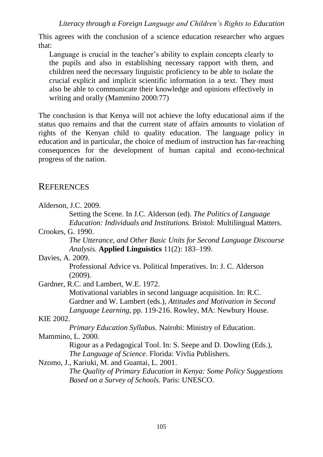This agrees with the conclusion of a science education researcher who argues that:

Language is crucial in the teacher's ability to explain concepts clearly to the pupils and also in establishing necessary rapport with them, and children need the necessary linguistic proficiency to be able to isolate the crucial explicit and implicit scientific information in a text. They must also be able to communicate their knowledge and opinions effectively in writing and orally (Mammino 2000:77)

The conclusion is that Kenya will not achieve the lofty educational aims if the status quo remains and that the current state of affairs amounts to violation of rights of the Kenyan child to quality education. The language policy in education and in particular, the choice of medium of instruction has far-reaching consequences for the development of human capital and econo-technical progress of the nation.

### **REFERENCES**

| Alderson, J.C. 2009.                                                           |
|--------------------------------------------------------------------------------|
| Setting the Scene. In J.C. Alderson (ed). The Politics of Language             |
| <i>Education: Individuals and Institutions. Bristol: Multilingual Matters.</i> |
| Crookes, G. 1990.                                                              |
| The Utterance, and Other Basic Units for Second Language Discourse             |
| <i>Analysis.</i> Applied Linguistics 11(2): 183–199.                           |
| Davies, A. 2009.                                                               |
| Professional Advice vs. Political Imperatives. In: J. C. Alderson              |
| (2009).                                                                        |
| Gardner, R.C. and Lambert, W.E. 1972.                                          |
| Motivational variables in second language acquisition. In: R.C.                |
| Gardner and W. Lambert (eds.), Attitudes and Motivation in Second              |
| <i>Language Learning, pp. 119-216. Rowley, MA: Newbury House.</i>              |
| KIE 2002.                                                                      |
| <i>Primary Education Syllabus.</i> Nairobi: Ministry of Education.             |
| Mammino, L. 2000.                                                              |
| Rigour as a Pedagogical Tool. In: S. Seepe and D. Dowling (Eds.),              |
| <i>The Language of Science. Florida: Vivlia Publishers.</i>                    |
| Nzomo, J., Kariuki, M. and Guantai, L. 2001.                                   |
| The Quality of Primary Education in Kenya: Some Policy Suggestions             |
| Based on a Survey of Schools. Paris: UNESCO.                                   |
|                                                                                |